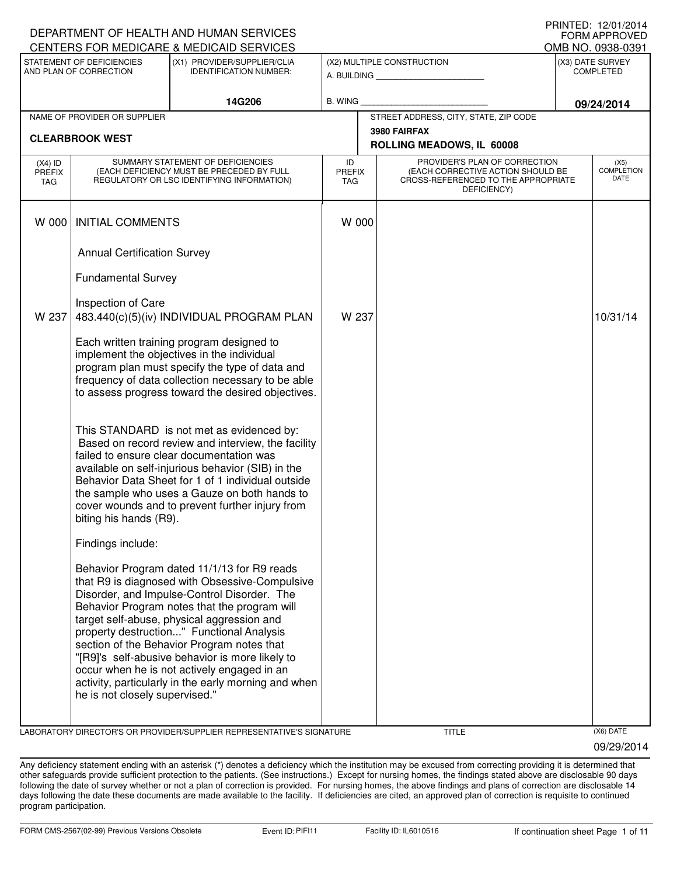| DEPARTMENT OF HEALTH AND HUMAN SERVICES<br><b>FORM APPROVED</b> |                                                     |                                                                                                                                                                                                                                                                                                                                                                                                                                                                                                 |                            |                                                                                                                          |  |                                      |
|-----------------------------------------------------------------|-----------------------------------------------------|-------------------------------------------------------------------------------------------------------------------------------------------------------------------------------------------------------------------------------------------------------------------------------------------------------------------------------------------------------------------------------------------------------------------------------------------------------------------------------------------------|----------------------------|--------------------------------------------------------------------------------------------------------------------------|--|--------------------------------------|
|                                                                 |                                                     | CENTERS FOR MEDICARE & MEDICAID SERVICES                                                                                                                                                                                                                                                                                                                                                                                                                                                        |                            |                                                                                                                          |  | OMB NO. 0938-0391                    |
|                                                                 | STATEMENT OF DEFICIENCIES<br>AND PLAN OF CORRECTION | (X1) PROVIDER/SUPPLIER/CLIA<br><b>IDENTIFICATION NUMBER:</b>                                                                                                                                                                                                                                                                                                                                                                                                                                    |                            | (X2) MULTIPLE CONSTRUCTION<br>A. BUILDING AND AN INCOME.                                                                 |  | (X3) DATE SURVEY<br><b>COMPLETED</b> |
|                                                                 |                                                     | 14G206                                                                                                                                                                                                                                                                                                                                                                                                                                                                                          | B. WING                    |                                                                                                                          |  | 09/24/2014                           |
|                                                                 | NAME OF PROVIDER OR SUPPLIER                        |                                                                                                                                                                                                                                                                                                                                                                                                                                                                                                 |                            | STREET ADDRESS, CITY, STATE, ZIP CODE                                                                                    |  |                                      |
|                                                                 | <b>CLEARBROOK WEST</b>                              |                                                                                                                                                                                                                                                                                                                                                                                                                                                                                                 |                            | 3980 FAIRFAX<br>ROLLING MEADOWS, IL 60008                                                                                |  |                                      |
| $(X4)$ ID<br><b>PREFIX</b><br><b>TAG</b>                        |                                                     | SUMMARY STATEMENT OF DEFICIENCIES<br>(EACH DEFICIENCY MUST BE PRECEDED BY FULL<br>REGULATORY OR LSC IDENTIFYING INFORMATION)                                                                                                                                                                                                                                                                                                                                                                    | ID<br><b>PREFIX</b><br>TAG | PROVIDER'S PLAN OF CORRECTION<br>(EACH CORRECTIVE ACTION SHOULD BE<br>CROSS-REFERENCED TO THE APPROPRIATE<br>DEFICIENCY) |  | (X5)<br><b>COMPLETION</b><br>DATE    |
| W 000                                                           | <b>INITIAL COMMENTS</b>                             |                                                                                                                                                                                                                                                                                                                                                                                                                                                                                                 | W 000                      |                                                                                                                          |  |                                      |
|                                                                 | <b>Annual Certification Survey</b>                  |                                                                                                                                                                                                                                                                                                                                                                                                                                                                                                 |                            |                                                                                                                          |  |                                      |
|                                                                 | <b>Fundamental Survey</b>                           |                                                                                                                                                                                                                                                                                                                                                                                                                                                                                                 |                            |                                                                                                                          |  |                                      |
| W 237                                                           | Inspection of Care                                  | 483.440(c)(5)(iv) INDIVIDUAL PROGRAM PLAN                                                                                                                                                                                                                                                                                                                                                                                                                                                       | W 237                      |                                                                                                                          |  | 10/31/14                             |
|                                                                 |                                                     | Each written training program designed to<br>implement the objectives in the individual<br>program plan must specify the type of data and<br>frequency of data collection necessary to be able<br>to assess progress toward the desired objectives.                                                                                                                                                                                                                                             |                            |                                                                                                                          |  |                                      |
|                                                                 | biting his hands (R9).                              | This STANDARD is not met as evidenced by:<br>Based on record review and interview, the facility<br>failed to ensure clear documentation was<br>available on self-injurious behavior (SIB) in the<br>Behavior Data Sheet for 1 of 1 individual outside<br>the sample who uses a Gauze on both hands to<br>cover wounds and to prevent further injury from                                                                                                                                        |                            |                                                                                                                          |  |                                      |
|                                                                 | Findings include:                                   |                                                                                                                                                                                                                                                                                                                                                                                                                                                                                                 |                            |                                                                                                                          |  |                                      |
|                                                                 | he is not closely supervised."                      | Behavior Program dated 11/1/13 for R9 reads<br>that R9 is diagnosed with Obsessive-Compulsive<br>Disorder, and Impulse-Control Disorder. The<br>Behavior Program notes that the program will<br>target self-abuse, physical aggression and<br>property destruction" Functional Analysis<br>section of the Behavior Program notes that<br>"[R9]'s self-abusive behavior is more likely to<br>occur when he is not actively engaged in an<br>activity, particularly in the early morning and when |                            |                                                                                                                          |  |                                      |
|                                                                 |                                                     |                                                                                                                                                                                                                                                                                                                                                                                                                                                                                                 |                            |                                                                                                                          |  |                                      |

LABORATORY DIRECTOR'S OR PROVIDER/SUPPLIER REPRESENTATIVE'S SIGNATURE TITLE (X6) DATE

09/29/2014

PRINTED: 12/01/2014

Any deficiency statement ending with an asterisk (\*) denotes a deficiency which the institution may be excused from correcting providing it is determined that other safeguards provide sufficient protection to the patients. (See instructions.) Except for nursing homes, the findings stated above are disclosable 90 days following the date of survey whether or not a plan of correction is provided. For nursing homes, the above findings and plans of correction are disclosable 14 days following the date these documents are made available to the facility. If deficiencies are cited, an approved plan of correction is requisite to continued program participation.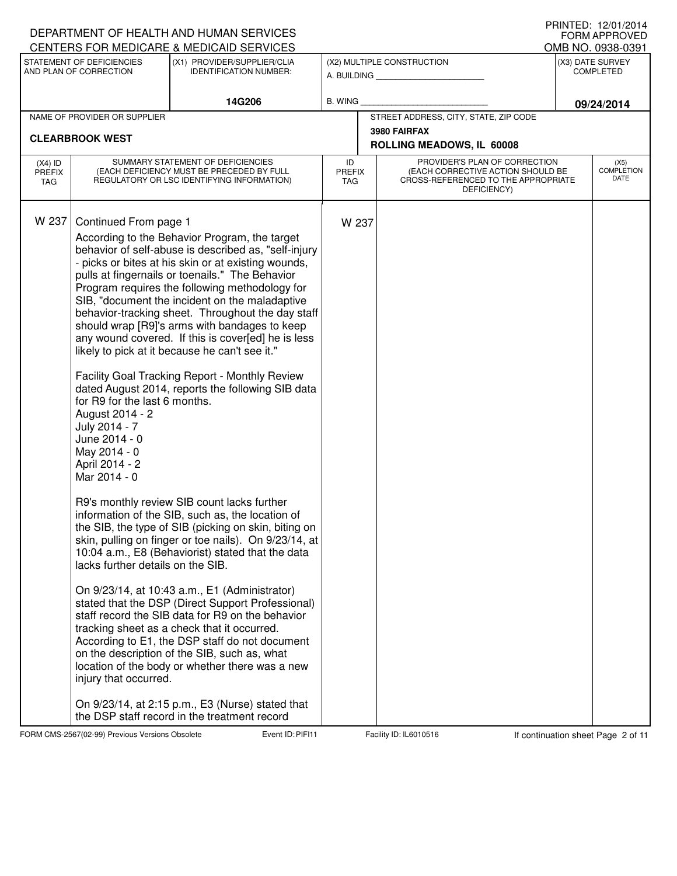|                                   |                                                                                                                                                                                                                             | DEPARTMENT OF HEALTH AND HUMAN SERVICES<br>CENTERS FOR MEDICARE & MEDICAID SERVICES                                                                                                                                                                                                                                                                                                                                                                                                                                                                                                                                                                                                                                                                                                                                                                                                                                                                                                                                                                                                                                                                                                                                                                                                                                                                                                 |                             |                                                                                                                          |            | I I 1111 I L D. I <i>L</i> / U I / L U I <del>T</del><br><b>FORM APPROVED</b><br>OMB NO. 0938-0391 |
|-----------------------------------|-----------------------------------------------------------------------------------------------------------------------------------------------------------------------------------------------------------------------------|-------------------------------------------------------------------------------------------------------------------------------------------------------------------------------------------------------------------------------------------------------------------------------------------------------------------------------------------------------------------------------------------------------------------------------------------------------------------------------------------------------------------------------------------------------------------------------------------------------------------------------------------------------------------------------------------------------------------------------------------------------------------------------------------------------------------------------------------------------------------------------------------------------------------------------------------------------------------------------------------------------------------------------------------------------------------------------------------------------------------------------------------------------------------------------------------------------------------------------------------------------------------------------------------------------------------------------------------------------------------------------------|-----------------------------|--------------------------------------------------------------------------------------------------------------------------|------------|----------------------------------------------------------------------------------------------------|
|                                   | STATEMENT OF DEFICIENCIES<br>AND PLAN OF CORRECTION                                                                                                                                                                         | (X1) PROVIDER/SUPPLIER/CLIA<br><b>IDENTIFICATION NUMBER:</b>                                                                                                                                                                                                                                                                                                                                                                                                                                                                                                                                                                                                                                                                                                                                                                                                                                                                                                                                                                                                                                                                                                                                                                                                                                                                                                                        |                             | (X2) MULTIPLE CONSTRUCTION<br>A. BUILDING                                                                                |            | (X3) DATE SURVEY<br><b>COMPLETED</b>                                                               |
|                                   |                                                                                                                                                                                                                             | 14G206                                                                                                                                                                                                                                                                                                                                                                                                                                                                                                                                                                                                                                                                                                                                                                                                                                                                                                                                                                                                                                                                                                                                                                                                                                                                                                                                                                              | <b>B. WING</b>              |                                                                                                                          | 09/24/2014 |                                                                                                    |
|                                   | NAME OF PROVIDER OR SUPPLIER                                                                                                                                                                                                |                                                                                                                                                                                                                                                                                                                                                                                                                                                                                                                                                                                                                                                                                                                                                                                                                                                                                                                                                                                                                                                                                                                                                                                                                                                                                                                                                                                     |                             | STREET ADDRESS, CITY, STATE, ZIP CODE<br>3980 FAIRFAX                                                                    |            |                                                                                                    |
| <b>CLEARBROOK WEST</b>            |                                                                                                                                                                                                                             |                                                                                                                                                                                                                                                                                                                                                                                                                                                                                                                                                                                                                                                                                                                                                                                                                                                                                                                                                                                                                                                                                                                                                                                                                                                                                                                                                                                     |                             | ROLLING MEADOWS, IL 60008                                                                                                |            |                                                                                                    |
| $(X4)$ ID<br><b>PREFIX</b><br>TAG |                                                                                                                                                                                                                             | SUMMARY STATEMENT OF DEFICIENCIES<br>(EACH DEFICIENCY MUST BE PRECEDED BY FULL<br>REGULATORY OR LSC IDENTIFYING INFORMATION)                                                                                                                                                                                                                                                                                                                                                                                                                                                                                                                                                                                                                                                                                                                                                                                                                                                                                                                                                                                                                                                                                                                                                                                                                                                        | ID<br><b>PREFIX</b><br>TAG. | PROVIDER'S PLAN OF CORRECTION<br>(EACH CORRECTIVE ACTION SHOULD BE<br>CROSS-REFERENCED TO THE APPROPRIATE<br>DEFICIENCY) |            | (X5)<br><b>COMPLETION</b><br>DATE                                                                  |
| W 237                             | Continued From page 1<br>for R9 for the last 6 months.<br>August 2014 - 2<br>July 2014 - 7<br>June 2014 - 0<br>May 2014 - 0<br>April 2014 - 2<br>Mar 2014 - 0<br>lacks further details on the SIB.<br>injury that occurred. | According to the Behavior Program, the target<br>behavior of self-abuse is described as, "self-injury<br>- picks or bites at his skin or at existing wounds,<br>pulls at fingernails or toenails." The Behavior<br>Program requires the following methodology for<br>SIB, "document the incident on the maladaptive<br>behavior-tracking sheet. Throughout the day staff<br>should wrap [R9]'s arms with bandages to keep<br>any wound covered. If this is cover[ed] he is less<br>likely to pick at it because he can't see it."<br>Facility Goal Tracking Report - Monthly Review<br>dated August 2014, reports the following SIB data<br>R9's monthly review SIB count lacks further<br>information of the SIB, such as, the location of<br>the SIB, the type of SIB (picking on skin, biting on<br>skin, pulling on finger or toe nails). On 9/23/14, at<br>10:04 a.m., E8 (Behaviorist) stated that the data<br>On 9/23/14, at 10:43 a.m., E1 (Administrator)<br>stated that the DSP (Direct Support Professional)<br>staff record the SIB data for R9 on the behavior<br>tracking sheet as a check that it occurred.<br>According to E1, the DSP staff do not document<br>on the description of the SIB, such as, what<br>location of the body or whether there was a new<br>On 9/23/14, at 2:15 p.m., E3 (Nurse) stated that<br>the DSP staff record in the treatment record | W 237                       |                                                                                                                          |            |                                                                                                    |

FORM CMS-2567(02-99) Previous Versions Obsolete **Page 2 of 11** Event ID: PIFI11 Facility ID: IL6010516 If continuation sheet Page 2 of 11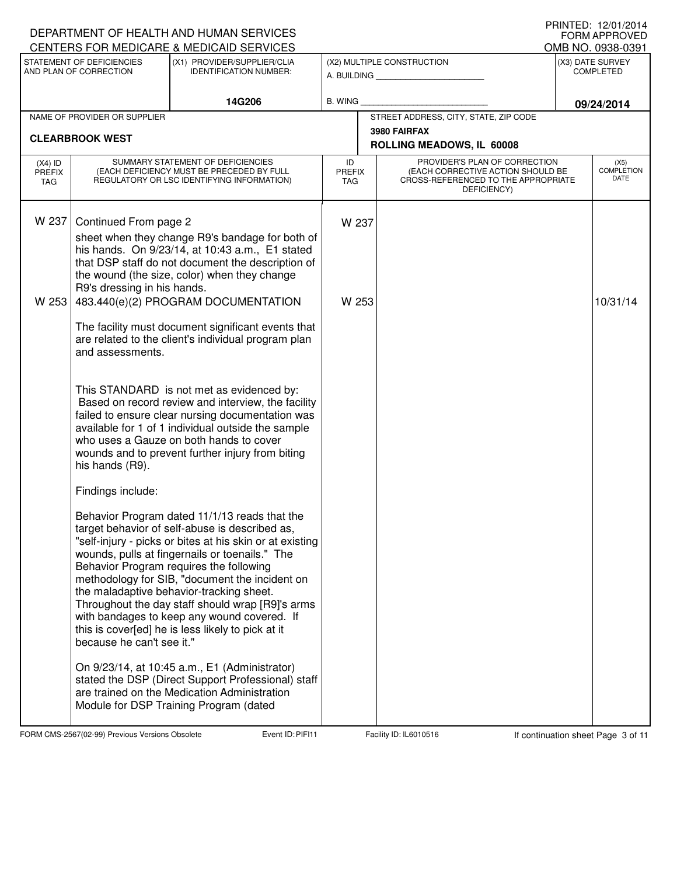## A. BUILDING **\_\_\_\_\_\_\_\_\_\_\_\_\_\_\_\_\_\_\_\_\_\_** (X1) PROVIDER/SUPPLIER/CLIA IDENTIFICATION NUMBER: STATEMENT OF DEFICIENCIES AND PLAN OF CORRECTION (X3) DATE SURVEY COMPLETED FORM APPROVED<br>OMB NO. 0938-0391 (X2) MULTIPLE CONSTRUCTION B. WING CENTERS FOR MEDICARE & MEDICAID SERVICES 14G206 **B. WING DECISION BLOCK DECISION 09/24/2014** NAME OF PROVIDER OR SUPPLIER STREET ADDRESS, CITY, STATE, ZIP CODE **3980 FAIRFAX CLEARBROOK WEST ROLLING MEADOWS, IL 60008** PROVIDER'S PLAN OF CORRECTION (EACH CORRECTIVE ACTION SHOULD BE CROSS-REFERENCED TO THE APPROPRIATE DEFICIENCY) (X5) COMPLETION DATE ID PREFIX TAG (X4) ID PREFIX TAG SUMMARY STATEMENT OF DEFICIENCIES (EACH DEFICIENCY MUST BE PRECEDED BY FULL REGULATORY OR LSC IDENTIFYING INFORMATION) W 237 Continued From page 2 W 237 sheet when they change R9's bandage for both of his hands. On 9/23/14, at 10:43 a.m., E1 stated that DSP staff do not document the description of the wound (the size, color) when they change R9's dressing in his hands. W 253 483.440(e)(2) PROGRAM DOCUMENTATION The facility must document significant events that are related to the client's individual program plan and assessments. This STANDARD is not met as evidenced by: W 253 2008 2010 2020 2020 2031/14 Based on record review and interview, the facility failed to ensure clear nursing documentation was available for 1 of 1 individual outside the sample who uses a Gauze on both hands to cover wounds and to prevent further injury from biting his hands (R9). Findings include: Behavior Program dated 11/1/13 reads that the target behavior of self-abuse is described as, "self-injury - picks or bites at his skin or at existing wounds, pulls at fingernails or toenails." The Behavior Program requires the following methodology for SIB, "document the incident on the maladaptive behavior-tracking sheet. Throughout the day staff should wrap [R9]'s arms with bandages to keep any wound covered. If this is cover[ed] he is less likely to pick at it because he can't see it." On 9/23/14, at 10:45 a.m., E1 (Administrator) stated the DSP (Direct Support Professional) staff are trained on the Medication Administration Module for DSP Training Program (dated

FORM CMS-2567(02-99) Previous Versions Obsolete Event ID: PIFI11 Facility ID: IL6010516 If continuation sheet Page 3 of 11

DEPARTMENT OF HEALTH AND HUMAN SERVICES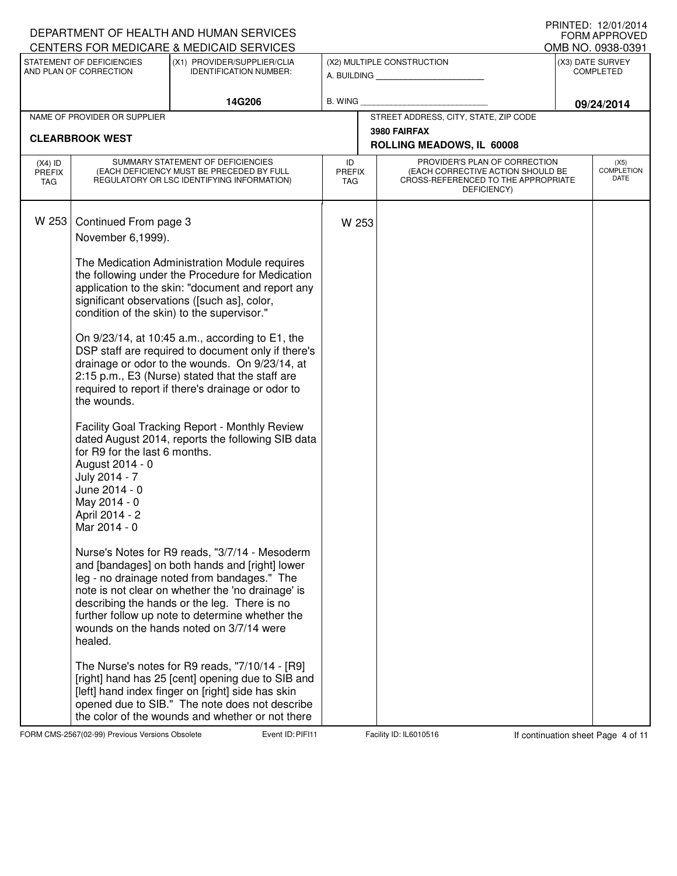| CENTERS FOR MEDICARE & MEDICAID SERVICES                                                                                                                                                                                                                                                                                                                                                                                                                                                                                                                                                                                                                                                                                                                                                                                                                                                                                                                                                                                                                                                                                                                                                                                                                                                                                                                                                                                              | OMB NO. 0938-0391                    | <b>FORM APPROVED</b>              |
|---------------------------------------------------------------------------------------------------------------------------------------------------------------------------------------------------------------------------------------------------------------------------------------------------------------------------------------------------------------------------------------------------------------------------------------------------------------------------------------------------------------------------------------------------------------------------------------------------------------------------------------------------------------------------------------------------------------------------------------------------------------------------------------------------------------------------------------------------------------------------------------------------------------------------------------------------------------------------------------------------------------------------------------------------------------------------------------------------------------------------------------------------------------------------------------------------------------------------------------------------------------------------------------------------------------------------------------------------------------------------------------------------------------------------------------|--------------------------------------|-----------------------------------|
| STATEMENT OF DEFICIENCIES<br>(X1) PROVIDER/SUPPLIER/CLIA<br>(X2) MULTIPLE CONSTRUCTION<br>AND PLAN OF CORRECTION<br><b>IDENTIFICATION NUMBER:</b><br>A. BUILDING AND AN INCOME.                                                                                                                                                                                                                                                                                                                                                                                                                                                                                                                                                                                                                                                                                                                                                                                                                                                                                                                                                                                                                                                                                                                                                                                                                                                       | (X3) DATE SURVEY<br><b>COMPLETED</b> |                                   |
| 14G206<br><b>B. WING</b>                                                                                                                                                                                                                                                                                                                                                                                                                                                                                                                                                                                                                                                                                                                                                                                                                                                                                                                                                                                                                                                                                                                                                                                                                                                                                                                                                                                                              | 09/24/2014                           |                                   |
| STREET ADDRESS, CITY, STATE, ZIP CODE<br>NAME OF PROVIDER OR SUPPLIER                                                                                                                                                                                                                                                                                                                                                                                                                                                                                                                                                                                                                                                                                                                                                                                                                                                                                                                                                                                                                                                                                                                                                                                                                                                                                                                                                                 |                                      |                                   |
| 3980 FAIRFAX<br><b>CLEARBROOK WEST</b><br>ROLLING MEADOWS, IL 60008                                                                                                                                                                                                                                                                                                                                                                                                                                                                                                                                                                                                                                                                                                                                                                                                                                                                                                                                                                                                                                                                                                                                                                                                                                                                                                                                                                   |                                      |                                   |
| SUMMARY STATEMENT OF DEFICIENCIES<br>PROVIDER'S PLAN OF CORRECTION<br>ID<br>$(X4)$ ID<br>(EACH DEFICIENCY MUST BE PRECEDED BY FULL<br>(EACH CORRECTIVE ACTION SHOULD BE<br><b>PREFIX</b><br><b>PREFIX</b><br>CROSS-REFERENCED TO THE APPROPRIATE<br>REGULATORY OR LSC IDENTIFYING INFORMATION)<br><b>TAG</b><br><b>TAG</b><br>DEFICIENCY)                                                                                                                                                                                                                                                                                                                                                                                                                                                                                                                                                                                                                                                                                                                                                                                                                                                                                                                                                                                                                                                                                             |                                      | (X5)<br><b>COMPLETION</b><br>DATE |
| W 253<br>Continued From page 3<br>W 253<br>November 6,1999).<br>The Medication Administration Module requires<br>the following under the Procedure for Medication<br>application to the skin: "document and report any<br>significant observations ([such as], color,<br>condition of the skin) to the supervisor."<br>On 9/23/14, at 10:45 a.m., according to E1, the<br>DSP staff are required to document only if there's<br>drainage or odor to the wounds. On 9/23/14, at<br>2:15 p.m., E3 (Nurse) stated that the staff are<br>required to report if there's drainage or odor to<br>the wounds.<br>Facility Goal Tracking Report - Monthly Review<br>dated August 2014, reports the following SIB data<br>for R9 for the last 6 months.<br>August 2014 - 0<br>July 2014 - 7<br>June 2014 - 0<br>May 2014 - 0<br>April 2014 - 2<br>Mar 2014 - 0<br>Nurse's Notes for R9 reads, "3/7/14 - Mesoderm<br>and [bandages] on both hands and [right] lower<br>leg - no drainage noted from bandages." The<br>note is not clear on whether the 'no drainage' is<br>describing the hands or the leg. There is no<br>further follow up note to determine whether the<br>wounds on the hands noted on 3/7/14 were<br>healed.<br>The Nurse's notes for R9 reads, "7/10/14 - [R9]<br>[right] hand has 25 [cent] opening due to SIB and<br>[left] hand index finger on [right] side has skin<br>opened due to SIB." The note does not describe |                                      |                                   |

FORM CMS-2567(02-99) Previous Versions Obsolete **Page 1 COST Event ID: PIFI11** Facility ID: IL6010516 If continuation sheet Page 4 of 11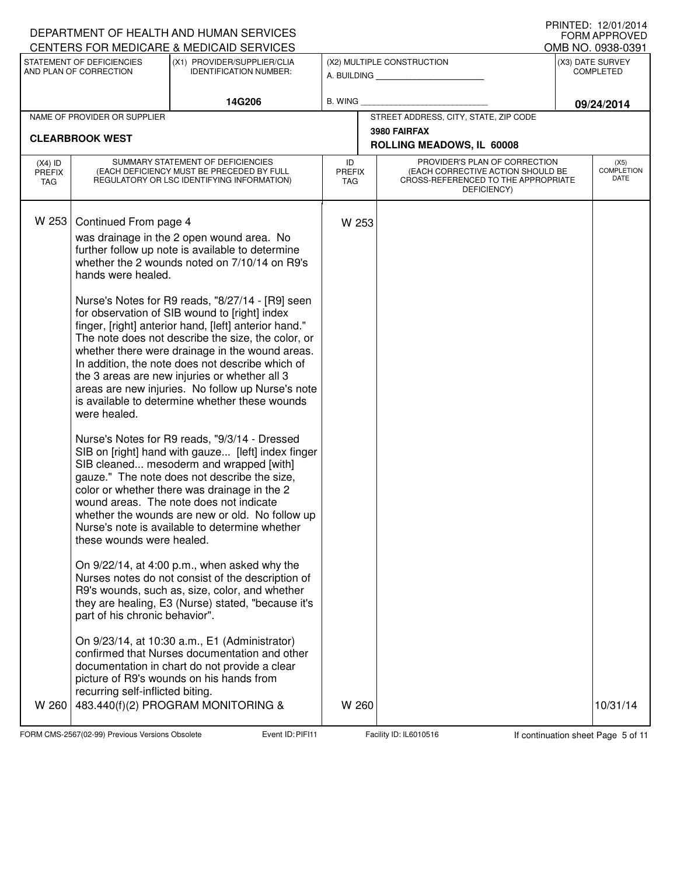|                                   |                                                                                                                                                                                     | DEPARTMENT OF HEALTH AND HUMAN SERVICES<br>CENTERS FOR MEDICARE & MEDICAID SERVICES                                                                                                                                                                                                                                                                                                                                                                                             |                                   |                                                                                                                          |            | IIIIIIILU. I <i>L</i> /VI/LVIT<br><b>FORM APPROVED</b><br>OMB NO. 0938-0391 |
|-----------------------------------|-------------------------------------------------------------------------------------------------------------------------------------------------------------------------------------|---------------------------------------------------------------------------------------------------------------------------------------------------------------------------------------------------------------------------------------------------------------------------------------------------------------------------------------------------------------------------------------------------------------------------------------------------------------------------------|-----------------------------------|--------------------------------------------------------------------------------------------------------------------------|------------|-----------------------------------------------------------------------------|
|                                   | STATEMENT OF DEFICIENCIES<br>(X1) PROVIDER/SUPPLIER/CLIA<br>(X2) MULTIPLE CONSTRUCTION<br>AND PLAN OF CORRECTION<br><b>IDENTIFICATION NUMBER:</b><br>A. BUILDING <b>A.</b> BUILDING |                                                                                                                                                                                                                                                                                                                                                                                                                                                                                 |                                   | (X3) DATE SURVEY<br><b>COMPLETED</b>                                                                                     |            |                                                                             |
|                                   |                                                                                                                                                                                     | 14G206                                                                                                                                                                                                                                                                                                                                                                                                                                                                          | B. WING                           |                                                                                                                          | 09/24/2014 |                                                                             |
|                                   | NAME OF PROVIDER OR SUPPLIER                                                                                                                                                        |                                                                                                                                                                                                                                                                                                                                                                                                                                                                                 |                                   | STREET ADDRESS, CITY, STATE, ZIP CODE<br>3980 FAIRFAX                                                                    |            |                                                                             |
|                                   | <b>CLEARBROOK WEST</b>                                                                                                                                                              |                                                                                                                                                                                                                                                                                                                                                                                                                                                                                 |                                   | ROLLING MEADOWS, IL 60008                                                                                                |            |                                                                             |
| $(X4)$ ID<br>PREFIX<br><b>TAG</b> |                                                                                                                                                                                     | SUMMARY STATEMENT OF DEFICIENCIES<br>(EACH DEFICIENCY MUST BE PRECEDED BY FULL<br>REGULATORY OR LSC IDENTIFYING INFORMATION)                                                                                                                                                                                                                                                                                                                                                    | ID<br><b>PREFIX</b><br><b>TAG</b> | PROVIDER'S PLAN OF CORRECTION<br>(EACH CORRECTIVE ACTION SHOULD BE<br>CROSS-REFERENCED TO THE APPROPRIATE<br>DEFICIENCY) |            | (X5)<br><b>COMPLETION</b><br>DATE                                           |
| W 253                             | Continued From page 4<br>hands were healed.                                                                                                                                         | was drainage in the 2 open wound area. No<br>further follow up note is available to determine<br>whether the 2 wounds noted on 7/10/14 on R9's                                                                                                                                                                                                                                                                                                                                  | W 253                             |                                                                                                                          |            |                                                                             |
|                                   | were healed.                                                                                                                                                                        | Nurse's Notes for R9 reads, "8/27/14 - [R9] seen<br>for observation of SIB wound to [right] index<br>finger, [right] anterior hand, [left] anterior hand."<br>The note does not describe the size, the color, or<br>whether there were drainage in the wound areas.<br>In addition, the note does not describe which of<br>the 3 areas are new injuries or whether all 3<br>areas are new injuries. No follow up Nurse's note<br>is available to determine whether these wounds |                                   |                                                                                                                          |            |                                                                             |
|                                   | these wounds were healed.                                                                                                                                                           | Nurse's Notes for R9 reads, "9/3/14 - Dressed<br>SIB on [right] hand with gauze [left] index finger<br>SIB cleaned mesoderm and wrapped [with]<br>gauze." The note does not describe the size,<br>color or whether there was drainage in the 2<br>wound areas. The note does not indicate<br>whether the wounds are new or old. No follow up<br>Nurse's note is available to determine whether                                                                                  |                                   |                                                                                                                          |            |                                                                             |
|                                   | part of his chronic behavior".                                                                                                                                                      | On 9/22/14, at 4:00 p.m., when asked why the<br>Nurses notes do not consist of the description of<br>R9's wounds, such as, size, color, and whether<br>they are healing, E3 (Nurse) stated, "because it's                                                                                                                                                                                                                                                                       |                                   |                                                                                                                          |            |                                                                             |
| W 260                             | recurring self-inflicted biting.                                                                                                                                                    | On 9/23/14, at 10:30 a.m., E1 (Administrator)<br>confirmed that Nurses documentation and other<br>documentation in chart do not provide a clear<br>picture of R9's wounds on his hands from<br>483.440(f)(2) PROGRAM MONITORING &                                                                                                                                                                                                                                               | W 260                             |                                                                                                                          |            | 10/31/14                                                                    |

FORM CMS-2567(02-99) Previous Versions Obsolete Event ID: PIFI11 Facility ID: IL6010516 If continuation sheet Page 5 of 11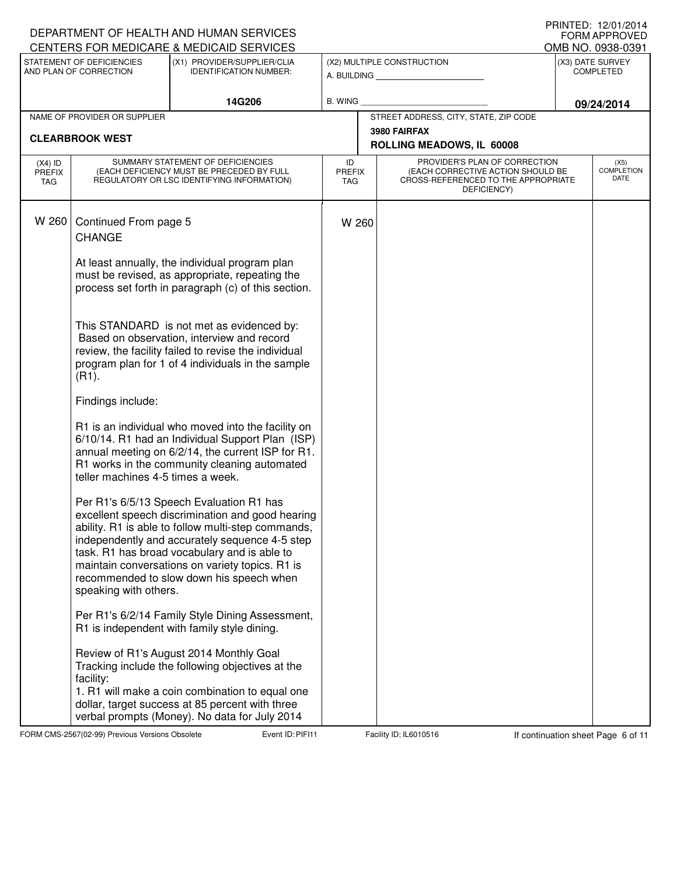|                                          |                                                     | DEPARTMENT OF HEALTH AND HUMAN SERVICES<br>CENTERS FOR MEDICARE & MEDICAID SERVICES                                                                                                                                                                                                                                                                 |                                   |                                                                                                                          | <u>IIIIIILLU. IZ/UI/ZUI</u> T<br>FORM APPROVED<br>OMB NO. 0938-0391 |
|------------------------------------------|-----------------------------------------------------|-----------------------------------------------------------------------------------------------------------------------------------------------------------------------------------------------------------------------------------------------------------------------------------------------------------------------------------------------------|-----------------------------------|--------------------------------------------------------------------------------------------------------------------------|---------------------------------------------------------------------|
|                                          | STATEMENT OF DEFICIENCIES<br>AND PLAN OF CORRECTION | (X1) PROVIDER/SUPPLIER/CLIA<br><b>IDENTIFICATION NUMBER:</b>                                                                                                                                                                                                                                                                                        |                                   | (X2) MULTIPLE CONSTRUCTION<br>A. BUILDING                                                                                | (X3) DATE SURVEY<br><b>COMPLETED</b>                                |
|                                          |                                                     | 14G206                                                                                                                                                                                                                                                                                                                                              | <b>B. WING</b>                    |                                                                                                                          | 09/24/2014                                                          |
|                                          | NAME OF PROVIDER OR SUPPLIER                        |                                                                                                                                                                                                                                                                                                                                                     |                                   | STREET ADDRESS, CITY, STATE, ZIP CODE                                                                                    |                                                                     |
|                                          | <b>CLEARBROOK WEST</b>                              |                                                                                                                                                                                                                                                                                                                                                     |                                   | 3980 FAIRFAX<br>ROLLING MEADOWS, IL 60008                                                                                |                                                                     |
| $(X4)$ ID<br><b>PREFIX</b><br><b>TAG</b> |                                                     | SUMMARY STATEMENT OF DEFICIENCIES<br>(EACH DEFICIENCY MUST BE PRECEDED BY FULL<br>REGULATORY OR LSC IDENTIFYING INFORMATION)                                                                                                                                                                                                                        | ID<br><b>PREFIX</b><br><b>TAG</b> | PROVIDER'S PLAN OF CORRECTION<br>(EACH CORRECTIVE ACTION SHOULD BE<br>CROSS-REFERENCED TO THE APPROPRIATE<br>DEFICIENCY) | (X5)<br><b>COMPLETION</b><br>DATE                                   |
| W 260                                    | Continued From page 5<br><b>CHANGE</b>              |                                                                                                                                                                                                                                                                                                                                                     | W 260                             |                                                                                                                          |                                                                     |
|                                          |                                                     | At least annually, the individual program plan<br>must be revised, as appropriate, repeating the<br>process set forth in paragraph (c) of this section.                                                                                                                                                                                             |                                   |                                                                                                                          |                                                                     |
|                                          | $(R1)$ .                                            | This STANDARD is not met as evidenced by:<br>Based on observation, interview and record<br>review, the facility failed to revise the individual<br>program plan for 1 of 4 individuals in the sample                                                                                                                                                |                                   |                                                                                                                          |                                                                     |
|                                          | Findings include:                                   |                                                                                                                                                                                                                                                                                                                                                     |                                   |                                                                                                                          |                                                                     |
|                                          | teller machines 4-5 times a week.                   | R1 is an individual who moved into the facility on<br>6/10/14. R1 had an Individual Support Plan (ISP)<br>annual meeting on 6/2/14, the current ISP for R1.<br>R1 works in the community cleaning automated                                                                                                                                         |                                   |                                                                                                                          |                                                                     |
|                                          | speaking with others.                               | Per R1's 6/5/13 Speech Evaluation R1 has<br>excellent speech discrimination and good hearing<br>ability. R1 is able to follow multi-step commands,<br>independently and accurately sequence 4-5 step<br>task. R1 has broad vocabulary and is able to<br>maintain conversations on variety topics. R1 is<br>recommended to slow down his speech when |                                   |                                                                                                                          |                                                                     |
|                                          |                                                     | Per R1's 6/2/14 Family Style Dining Assessment,<br>R1 is independent with family style dining.                                                                                                                                                                                                                                                      |                                   |                                                                                                                          |                                                                     |
|                                          | facility:                                           | Review of R1's August 2014 Monthly Goal<br>Tracking include the following objectives at the<br>1. R1 will make a coin combination to equal one<br>dollar, target success at 85 percent with three<br>verbal prompts (Money). No data for July 2014                                                                                                  |                                   |                                                                                                                          |                                                                     |

FORM CMS-2567(02-99) Previous Versions Obsolete **Page 10: PIFI11** Facility ID: IL6010516 If continuation sheet Page 6 of 11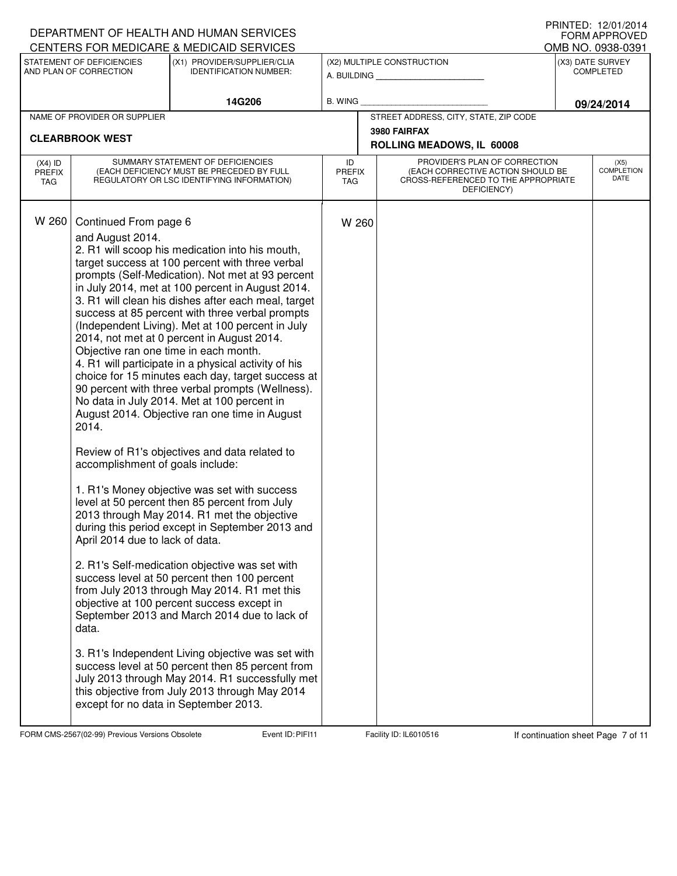|                                   |                                                                                                                                                                                                                      | DEPARTMENT OF HEALTH AND HUMAN SERVICES<br>CENTERS FOR MEDICARE & MEDICAID SERVICES                                                                                                                                                                                                                                                                                                                                                                                                                                                                                                                                                                                                                                                                                                                                                                                                                                                                                                                                                                                                                                                                                                                                                                                                                                                                                                                       |                                   |                                                                                                                          | ▏▎▎▏▎▎▎▏▏▁ <i>ື▏▁▏▏</i> ▏▏ <i>∠▏</i> V ▎▏⁄_V ▎▏ <del>\</del><br><b>FORM APPROVED</b><br>OMB NO. 0938-0391 |
|-----------------------------------|----------------------------------------------------------------------------------------------------------------------------------------------------------------------------------------------------------------------|-----------------------------------------------------------------------------------------------------------------------------------------------------------------------------------------------------------------------------------------------------------------------------------------------------------------------------------------------------------------------------------------------------------------------------------------------------------------------------------------------------------------------------------------------------------------------------------------------------------------------------------------------------------------------------------------------------------------------------------------------------------------------------------------------------------------------------------------------------------------------------------------------------------------------------------------------------------------------------------------------------------------------------------------------------------------------------------------------------------------------------------------------------------------------------------------------------------------------------------------------------------------------------------------------------------------------------------------------------------------------------------------------------------|-----------------------------------|--------------------------------------------------------------------------------------------------------------------------|-----------------------------------------------------------------------------------------------------------|
|                                   | STATEMENT OF DEFICIENCIES<br>AND PLAN OF CORRECTION                                                                                                                                                                  | (X1) PROVIDER/SUPPLIER/CLIA<br><b>IDENTIFICATION NUMBER:</b>                                                                                                                                                                                                                                                                                                                                                                                                                                                                                                                                                                                                                                                                                                                                                                                                                                                                                                                                                                                                                                                                                                                                                                                                                                                                                                                                              |                                   | (X2) MULTIPLE CONSTRUCTION<br>A. BUILDING                                                                                | (X3) DATE SURVEY<br><b>COMPLETED</b>                                                                      |
|                                   |                                                                                                                                                                                                                      | 14G206                                                                                                                                                                                                                                                                                                                                                                                                                                                                                                                                                                                                                                                                                                                                                                                                                                                                                                                                                                                                                                                                                                                                                                                                                                                                                                                                                                                                    | B. WING                           |                                                                                                                          | 09/24/2014                                                                                                |
|                                   | NAME OF PROVIDER OR SUPPLIER                                                                                                                                                                                         |                                                                                                                                                                                                                                                                                                                                                                                                                                                                                                                                                                                                                                                                                                                                                                                                                                                                                                                                                                                                                                                                                                                                                                                                                                                                                                                                                                                                           |                                   | STREET ADDRESS, CITY, STATE, ZIP CODE                                                                                    |                                                                                                           |
|                                   | <b>CLEARBROOK WEST</b>                                                                                                                                                                                               |                                                                                                                                                                                                                                                                                                                                                                                                                                                                                                                                                                                                                                                                                                                                                                                                                                                                                                                                                                                                                                                                                                                                                                                                                                                                                                                                                                                                           |                                   | 3980 FAIRFAX<br>ROLLING MEADOWS, IL 60008                                                                                |                                                                                                           |
| $(X4)$ ID<br><b>PREFIX</b><br>TAG |                                                                                                                                                                                                                      | SUMMARY STATEMENT OF DEFICIENCIES<br>(EACH DEFICIENCY MUST BE PRECEDED BY FULL<br>REGULATORY OR LSC IDENTIFYING INFORMATION)                                                                                                                                                                                                                                                                                                                                                                                                                                                                                                                                                                                                                                                                                                                                                                                                                                                                                                                                                                                                                                                                                                                                                                                                                                                                              | ID<br><b>PREFIX</b><br><b>TAG</b> | PROVIDER'S PLAN OF CORRECTION<br>(EACH CORRECTIVE ACTION SHOULD BE<br>CROSS-REFERENCED TO THE APPROPRIATE<br>DEFICIENCY) | (X5)<br><b>COMPLETION</b><br>DATE                                                                         |
| W 260                             | Continued From page 6<br>and August 2014.<br>Objective ran one time in each month.<br>2014.<br>accomplishment of goals include:<br>April 2014 due to lack of data.<br>data.<br>except for no data in September 2013. | 2. R1 will scoop his medication into his mouth,<br>target success at 100 percent with three verbal<br>prompts (Self-Medication). Not met at 93 percent<br>in July 2014, met at 100 percent in August 2014.<br>3. R1 will clean his dishes after each meal, target<br>success at 85 percent with three verbal prompts<br>(Independent Living). Met at 100 percent in July<br>2014, not met at 0 percent in August 2014.<br>4. R1 will participate in a physical activity of his<br>choice for 15 minutes each day, target success at<br>90 percent with three verbal prompts (Wellness).<br>No data in July 2014. Met at 100 percent in<br>August 2014. Objective ran one time in August<br>Review of R1's objectives and data related to<br>1. R1's Money objective was set with success<br>level at 50 percent then 85 percent from July<br>2013 through May 2014. R1 met the objective<br>during this period except in September 2013 and<br>2. R1's Self-medication objective was set with<br>success level at 50 percent then 100 percent<br>from July 2013 through May 2014. R1 met this<br>objective at 100 percent success except in<br>September 2013 and March 2014 due to lack of<br>3. R1's Independent Living objective was set with<br>success level at 50 percent then 85 percent from<br>July 2013 through May 2014. R1 successfully met<br>this objective from July 2013 through May 2014 | W 260                             |                                                                                                                          |                                                                                                           |

FORM CMS-2567(02-99) Previous Versions Obsolete **Page 1 Event ID: PIFI11** Facility ID: IL6010516 If continuation sheet Page 7 of 11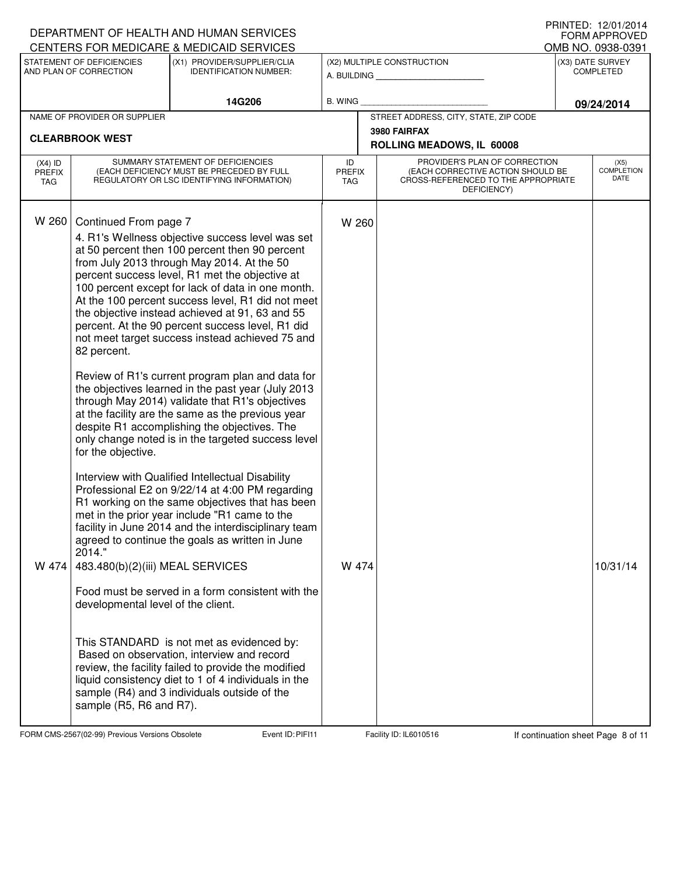|                                          |                                                                                                                                                | DEPARTMENT OF HEALTH AND HUMAN SERVICES<br>CENTERS FOR MEDICARE & MEDICAID SERVICES                                                                                                                                                                                                                                                                                                                                                                                                                                                                                                                                                                                                                                                                                                                                                                                                                                                                                                                                                                                                                                                                                                                                                                                                                                                                                                 |                            |                                                                                                                          | IINNILD. IZ/VI/ZVI <del>T</del><br><b>FORM APPROVED</b><br>OMB NO. 0938-0391 |
|------------------------------------------|------------------------------------------------------------------------------------------------------------------------------------------------|-------------------------------------------------------------------------------------------------------------------------------------------------------------------------------------------------------------------------------------------------------------------------------------------------------------------------------------------------------------------------------------------------------------------------------------------------------------------------------------------------------------------------------------------------------------------------------------------------------------------------------------------------------------------------------------------------------------------------------------------------------------------------------------------------------------------------------------------------------------------------------------------------------------------------------------------------------------------------------------------------------------------------------------------------------------------------------------------------------------------------------------------------------------------------------------------------------------------------------------------------------------------------------------------------------------------------------------------------------------------------------------|----------------------------|--------------------------------------------------------------------------------------------------------------------------|------------------------------------------------------------------------------|
|                                          | STATEMENT OF DEFICIENCIES<br>AND PLAN OF CORRECTION                                                                                            | (X1) PROVIDER/SUPPLIER/CLIA<br><b>IDENTIFICATION NUMBER:</b>                                                                                                                                                                                                                                                                                                                                                                                                                                                                                                                                                                                                                                                                                                                                                                                                                                                                                                                                                                                                                                                                                                                                                                                                                                                                                                                        |                            | (X2) MULTIPLE CONSTRUCTION<br>A. BUILDING                                                                                | (X3) DATE SURVEY<br><b>COMPLETED</b>                                         |
|                                          |                                                                                                                                                | 14G206                                                                                                                                                                                                                                                                                                                                                                                                                                                                                                                                                                                                                                                                                                                                                                                                                                                                                                                                                                                                                                                                                                                                                                                                                                                                                                                                                                              | <b>B. WING</b>             |                                                                                                                          | 09/24/2014                                                                   |
|                                          | NAME OF PROVIDER OR SUPPLIER                                                                                                                   |                                                                                                                                                                                                                                                                                                                                                                                                                                                                                                                                                                                                                                                                                                                                                                                                                                                                                                                                                                                                                                                                                                                                                                                                                                                                                                                                                                                     |                            | STREET ADDRESS, CITY, STATE, ZIP CODE                                                                                    |                                                                              |
|                                          | <b>CLEARBROOK WEST</b>                                                                                                                         |                                                                                                                                                                                                                                                                                                                                                                                                                                                                                                                                                                                                                                                                                                                                                                                                                                                                                                                                                                                                                                                                                                                                                                                                                                                                                                                                                                                     |                            | 3980 FAIRFAX<br>ROLLING MEADOWS, IL 60008                                                                                |                                                                              |
| $(X4)$ ID<br><b>PREFIX</b><br><b>TAG</b> |                                                                                                                                                | SUMMARY STATEMENT OF DEFICIENCIES<br>(EACH DEFICIENCY MUST BE PRECEDED BY FULL<br>REGULATORY OR LSC IDENTIFYING INFORMATION)                                                                                                                                                                                                                                                                                                                                                                                                                                                                                                                                                                                                                                                                                                                                                                                                                                                                                                                                                                                                                                                                                                                                                                                                                                                        | ID<br><b>PREFIX</b><br>TAG | PROVIDER'S PLAN OF CORRECTION<br>(EACH CORRECTIVE ACTION SHOULD BE<br>CROSS-REFERENCED TO THE APPROPRIATE<br>DEFICIENCY) | (X5)<br><b>COMPLETION</b><br>DATE                                            |
| W 260<br>W 474                           | Continued From page 7<br>82 percent.<br>for the objective.<br>2014."<br>483.480(b)(2)(iii) MEAL SERVICES<br>developmental level of the client. | 4. R1's Wellness objective success level was set<br>at 50 percent then 100 percent then 90 percent<br>from July 2013 through May 2014. At the 50<br>percent success level, R1 met the objective at<br>100 percent except for lack of data in one month.<br>At the 100 percent success level, R1 did not meet<br>the objective instead achieved at 91, 63 and 55<br>percent. At the 90 percent success level, R1 did<br>not meet target success instead achieved 75 and<br>Review of R1's current program plan and data for<br>the objectives learned in the past year (July 2013<br>through May 2014) validate that R1's objectives<br>at the facility are the same as the previous year<br>despite R1 accomplishing the objectives. The<br>only change noted is in the targeted success level<br>Interview with Qualified Intellectual Disability<br>Professional E2 on 9/22/14 at 4:00 PM regarding<br>R1 working on the same objectives that has been<br>met in the prior year include "R1 came to the<br>facility in June 2014 and the interdisciplinary team<br>agreed to continue the goals as written in June<br>Food must be served in a form consistent with the<br>This STANDARD is not met as evidenced by:<br>Based on observation, interview and record<br>review, the facility failed to provide the modified<br>liquid consistency diet to 1 of 4 individuals in the | W 260<br>W 474             |                                                                                                                          | 10/31/14                                                                     |
|                                          | sample (R5, R6 and R7).                                                                                                                        | sample (R4) and 3 individuals outside of the                                                                                                                                                                                                                                                                                                                                                                                                                                                                                                                                                                                                                                                                                                                                                                                                                                                                                                                                                                                                                                                                                                                                                                                                                                                                                                                                        |                            |                                                                                                                          |                                                                              |

FORM CMS-2567(02-99) Previous Versions Obsolete **Page 10: PIFI11** Facility ID: IL6010516 If continuation sheet Page 8 of 11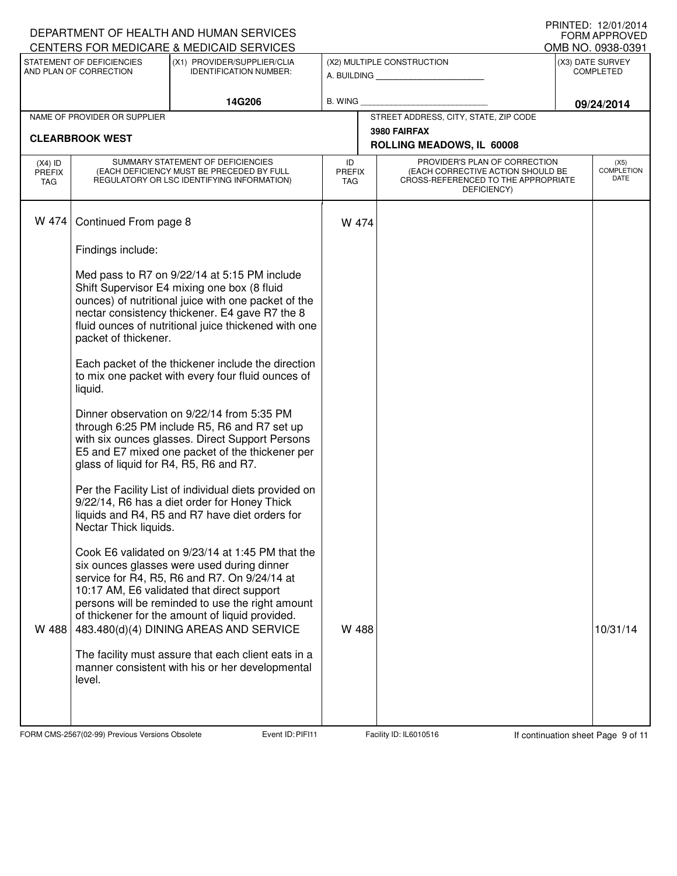|                                   |                                                     | DEPARTMENT OF HEALTH AND HUMAN SERVICES<br>CENTERS FOR MEDICARE & MEDICAID SERVICES                                                                                                                                                                                                                                                           |                                   |                                                                                                                          | I I III I LLUI I I LIVII LUI T<br>FORM APPROVED<br>OMB NO. 0938-0391 |                                      |
|-----------------------------------|-----------------------------------------------------|-----------------------------------------------------------------------------------------------------------------------------------------------------------------------------------------------------------------------------------------------------------------------------------------------------------------------------------------------|-----------------------------------|--------------------------------------------------------------------------------------------------------------------------|----------------------------------------------------------------------|--------------------------------------|
|                                   | STATEMENT OF DEFICIENCIES<br>AND PLAN OF CORRECTION | (X1) PROVIDER/SUPPLIER/CLIA<br><b>IDENTIFICATION NUMBER:</b>                                                                                                                                                                                                                                                                                  |                                   | (X2) MULTIPLE CONSTRUCTION                                                                                               |                                                                      | (X3) DATE SURVEY<br><b>COMPLETED</b> |
|                                   |                                                     |                                                                                                                                                                                                                                                                                                                                               |                                   | A. BUILDING                                                                                                              |                                                                      |                                      |
|                                   |                                                     | 14G206                                                                                                                                                                                                                                                                                                                                        | B. WING                           |                                                                                                                          |                                                                      | 09/24/2014                           |
|                                   | NAME OF PROVIDER OR SUPPLIER                        |                                                                                                                                                                                                                                                                                                                                               |                                   | STREET ADDRESS, CITY, STATE, ZIP CODE<br>3980 FAIRFAX                                                                    |                                                                      |                                      |
|                                   | <b>CLEARBROOK WEST</b>                              |                                                                                                                                                                                                                                                                                                                                               |                                   | ROLLING MEADOWS, IL 60008                                                                                                |                                                                      |                                      |
| $(X4)$ ID<br><b>PREFIX</b><br>TAG |                                                     | SUMMARY STATEMENT OF DEFICIENCIES<br>(EACH DEFICIENCY MUST BE PRECEDED BY FULL<br>REGULATORY OR LSC IDENTIFYING INFORMATION)                                                                                                                                                                                                                  | ID<br><b>PREFIX</b><br><b>TAG</b> | PROVIDER'S PLAN OF CORRECTION<br>(EACH CORRECTIVE ACTION SHOULD BE<br>CROSS-REFERENCED TO THE APPROPRIATE<br>DEFICIENCY) |                                                                      | (X5)<br><b>COMPLETION</b><br>DATE    |
| W 474                             | Continued From page 8                               |                                                                                                                                                                                                                                                                                                                                               | W 474                             |                                                                                                                          |                                                                      |                                      |
|                                   | Findings include:                                   |                                                                                                                                                                                                                                                                                                                                               |                                   |                                                                                                                          |                                                                      |                                      |
|                                   | packet of thickener.                                | Med pass to R7 on 9/22/14 at 5:15 PM include<br>Shift Supervisor E4 mixing one box (8 fluid<br>ounces) of nutritional juice with one packet of the<br>nectar consistency thickener. E4 gave R7 the 8<br>fluid ounces of nutritional juice thickened with one                                                                                  |                                   |                                                                                                                          |                                                                      |                                      |
|                                   | liquid.                                             | Each packet of the thickener include the direction<br>to mix one packet with every four fluid ounces of                                                                                                                                                                                                                                       |                                   |                                                                                                                          |                                                                      |                                      |
|                                   | glass of liquid for R4, R5, R6 and R7.              | Dinner observation on 9/22/14 from 5:35 PM<br>through 6:25 PM include R5, R6 and R7 set up<br>with six ounces glasses. Direct Support Persons<br>E5 and E7 mixed one packet of the thickener per                                                                                                                                              |                                   |                                                                                                                          |                                                                      |                                      |
|                                   | Nectar Thick liquids.                               | Per the Facility List of individual diets provided on<br>9/22/14, R6 has a diet order for Honey Thick<br>liquids and R4, R5 and R7 have diet orders for                                                                                                                                                                                       |                                   |                                                                                                                          |                                                                      |                                      |
| W 488                             |                                                     | Cook E6 validated on 9/23/14 at 1:45 PM that the<br>six ounces glasses were used during dinner<br>service for R4, R5, R6 and R7. On 9/24/14 at<br>10:17 AM, E6 validated that direct support<br>persons will be reminded to use the right amount<br>of thickener for the amount of liquid provided.<br>483.480(d)(4) DINING AREAS AND SERVICE | W 488                             |                                                                                                                          |                                                                      | 10/31/14                             |
|                                   | level.                                              | The facility must assure that each client eats in a<br>manner consistent with his or her developmental                                                                                                                                                                                                                                        |                                   |                                                                                                                          |                                                                      |                                      |

FORM CMS-2567(02-99) Previous Versions Obsolete Event ID: PIFI11 Facility ID: IL6010516 If continuation sheet Page 9 of 11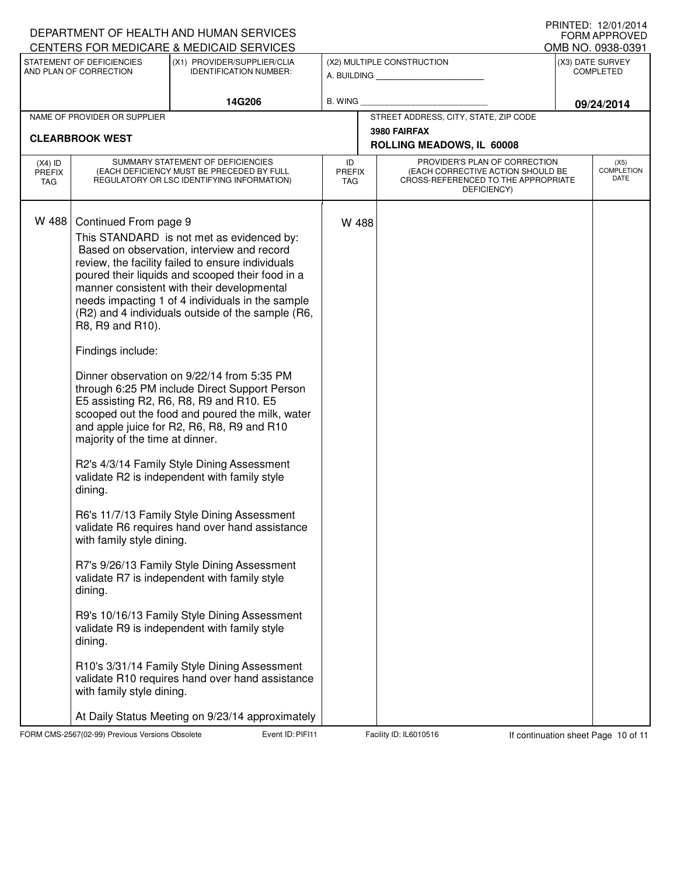|                                   |                                                                                                                                                                                              | DEPARTMENT OF HEALTH AND HUMAN SERVICES<br><b>CENTERS FOR MEDICARE &amp; MEDICAID SERVICES</b>                                                                                                                                                                                                                                                                                                                                                                                                                                                                                                                                                                                                                                                                                                                                                                                                                                                                                                                                                                                                      |                            |                                                                                                                          | FORM APPROVED                         |
|-----------------------------------|----------------------------------------------------------------------------------------------------------------------------------------------------------------------------------------------|-----------------------------------------------------------------------------------------------------------------------------------------------------------------------------------------------------------------------------------------------------------------------------------------------------------------------------------------------------------------------------------------------------------------------------------------------------------------------------------------------------------------------------------------------------------------------------------------------------------------------------------------------------------------------------------------------------------------------------------------------------------------------------------------------------------------------------------------------------------------------------------------------------------------------------------------------------------------------------------------------------------------------------------------------------------------------------------------------------|----------------------------|--------------------------------------------------------------------------------------------------------------------------|---------------------------------------|
|                                   | STATEMENT OF DEFICIENCIES                                                                                                                                                                    | (X1) PROVIDER/SUPPLIER/CLIA                                                                                                                                                                                                                                                                                                                                                                                                                                                                                                                                                                                                                                                                                                                                                                                                                                                                                                                                                                                                                                                                         |                            | (X2) MULTIPLE CONSTRUCTION                                                                                               | OMB NO. 0938-0391<br>(X3) DATE SURVEY |
|                                   | AND PLAN OF CORRECTION                                                                                                                                                                       | <b>IDENTIFICATION NUMBER:</b>                                                                                                                                                                                                                                                                                                                                                                                                                                                                                                                                                                                                                                                                                                                                                                                                                                                                                                                                                                                                                                                                       |                            | A. BUILDING <b>A.</b> BUILDING                                                                                           | <b>COMPLETED</b>                      |
|                                   |                                                                                                                                                                                              | 14G206                                                                                                                                                                                                                                                                                                                                                                                                                                                                                                                                                                                                                                                                                                                                                                                                                                                                                                                                                                                                                                                                                              | B. WING                    |                                                                                                                          | 09/24/2014                            |
|                                   | NAME OF PROVIDER OR SUPPLIER                                                                                                                                                                 |                                                                                                                                                                                                                                                                                                                                                                                                                                                                                                                                                                                                                                                                                                                                                                                                                                                                                                                                                                                                                                                                                                     |                            | STREET ADDRESS, CITY, STATE, ZIP CODE                                                                                    |                                       |
|                                   | <b>CLEARBROOK WEST</b>                                                                                                                                                                       |                                                                                                                                                                                                                                                                                                                                                                                                                                                                                                                                                                                                                                                                                                                                                                                                                                                                                                                                                                                                                                                                                                     |                            | 3980 FAIRFAX<br>ROLLING MEADOWS, IL 60008                                                                                |                                       |
| $(X4)$ ID<br><b>PREFIX</b><br>TAG |                                                                                                                                                                                              | SUMMARY STATEMENT OF DEFICIENCIES<br>(EACH DEFICIENCY MUST BE PRECEDED BY FULL<br>REGULATORY OR LSC IDENTIFYING INFORMATION)                                                                                                                                                                                                                                                                                                                                                                                                                                                                                                                                                                                                                                                                                                                                                                                                                                                                                                                                                                        | ID<br><b>PREFIX</b><br>TAG | PROVIDER'S PLAN OF CORRECTION<br>(EACH CORRECTIVE ACTION SHOULD BE<br>CROSS-REFERENCED TO THE APPROPRIATE<br>DEFICIENCY) | (X5)<br><b>COMPLETION</b><br>DATE     |
| W 488                             | Continued From page 9<br>R8, R9 and R10).<br>Findings include:<br>majority of the time at dinner.<br>dining.<br>with family style dining.<br>dining.<br>dining.<br>with family style dining. | This STANDARD is not met as evidenced by:<br>Based on observation, interview and record<br>review, the facility failed to ensure individuals<br>poured their liquids and scooped their food in a<br>manner consistent with their developmental<br>needs impacting 1 of 4 individuals in the sample<br>(R2) and 4 individuals outside of the sample (R6,<br>Dinner observation on 9/22/14 from 5:35 PM<br>through 6:25 PM include Direct Support Person<br>E5 assisting R2, R6, R8, R9 and R10. E5<br>scooped out the food and poured the milk, water<br>and apple juice for R2, R6, R8, R9 and R10<br>R2's 4/3/14 Family Style Dining Assessment<br>validate R2 is independent with family style<br>R6's 11/7/13 Family Style Dining Assessment<br>validate R6 requires hand over hand assistance<br>R7's 9/26/13 Family Style Dining Assessment<br>validate R7 is independent with family style<br>R9's 10/16/13 Family Style Dining Assessment<br>validate R9 is independent with family style<br>R10's 3/31/14 Family Style Dining Assessment<br>validate R10 requires hand over hand assistance | W 488                      |                                                                                                                          |                                       |

FORM CMS-2567(02-99) Previous Versions Obsolete Event ID: PIFI11 Facility ID: IL6010516 If continuation sheet Page 10 of 11

DEPARTMENT OF HEALTH AND HUMAN SERVICES